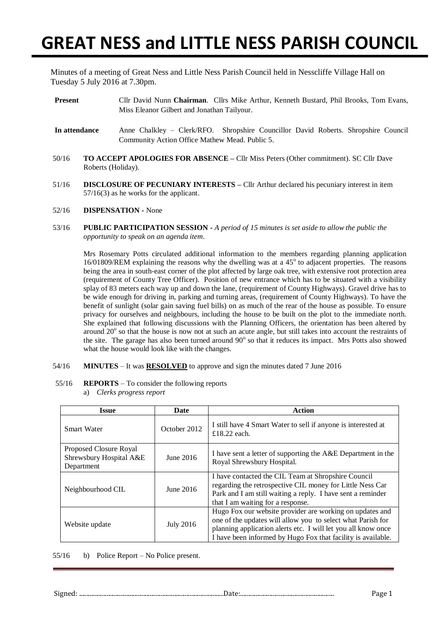# **GREAT NESS and LITTLE NESS PARISH COUNCIL**

Minutes of a meeting of Great Ness and Little Ness Parish Council held in Nesscliffe Village Hall on Tuesday 5 July 2016 at 7.30pm.

- **Present** Cllr David Nunn **Chairman**. Cllrs Mike Arthur, Kenneth Bustard, Phil Brooks, Tom Evans, Miss Eleanor Gilbert and Jonathan Tailyour.
- **In attendance** Anne Chalkley Clerk/RFO. Shropshire Councillor David Roberts. Shropshire Council Community Action Office Mathew Mead. Public 5.
- 50/16 **TO ACCEPT APOLOGIES FOR ABSENCE –** Cllr Miss Peters (Other commitment). SC Cllr Dave Roberts (Holiday).
- 51/16 **DISCLOSURE OF PECUNIARY INTERESTS –** Cllr Arthur declared his pecuniary interest in item 57/16(3) as he works for the applicant.
- 52/16 **DISPENSATION -** None
- 53/16 **PUBLIC PARTICIPATION SESSION -** *A period of 15 minutes is set aside to allow the public the opportunity to speak on an agenda item*.

Mrs Rosemary Potts circulated additional information to the members regarding planning application 16/01809/REM explaining the reasons why the dwelling was at a 45<sup>°</sup> to adjacent properties. The reasons being the area in south-east corner of the plot affected by large oak tree, with extensive root protection area (requirement of County Tree Officer). Position of new entrance which has to be situated with a visibility splay of 83 meters each way up and down the lane, (requirement of County Highways). Gravel drive has to be wide enough for driving in, parking and turning areas, (requirement of County Highways). To have the benefit of sunlight (solar gain saving fuel bills) on as much of the rear of the house as possible. To ensure privacy for ourselves and neighbours, including the house to be built on the plot to the immediate north. She explained that following discussions with the Planning Officers, the orientation has been altered by around 20° so that the house is now not at such an acute angle, but still takes into account the restraints of the site. The garage has also been turned around 90° so that it reduces its impact. Mrs Potts also showed what the house would look like with the changes.

- 54/16 **MINUTES** It was **RESOLVED** to approve and sign the minutes dated 7 June 2016
- 55/16 **REPORTS** To consider the following reports a) *Clerks progress report*

| <b>Issue</b>                                                    | Date             | Action                                                                                                                                                                                                                                                   |  |  |
|-----------------------------------------------------------------|------------------|----------------------------------------------------------------------------------------------------------------------------------------------------------------------------------------------------------------------------------------------------------|--|--|
| <b>Smart Water</b>                                              | October 2012     | I still have 4 Smart Water to sell if anyone is interested at<br>£18.22 each.                                                                                                                                                                            |  |  |
| Proposed Closure Royal<br>Shrewsbury Hospital A&E<br>Department | June 2016        | I have sent a letter of supporting the A&E Department in the<br>Royal Shrewsbury Hospital.                                                                                                                                                               |  |  |
| Neighbourhood CIL                                               | June 2016        | I have contacted the CIL Team at Shropshire Council<br>regarding the retrospective CIL money for Little Ness Car<br>Park and I am still waiting a reply. I have sent a reminder<br>that I am waiting for a response.                                     |  |  |
| Website update                                                  | <b>July 2016</b> | Hugo Fox our website provider are working on updates and<br>one of the updates will allow you to select what Parish for<br>planning application alerts etc. I will let you all know once<br>I have been informed by Hugo Fox that facility is available. |  |  |

55/16 b) Police Report – No Police present.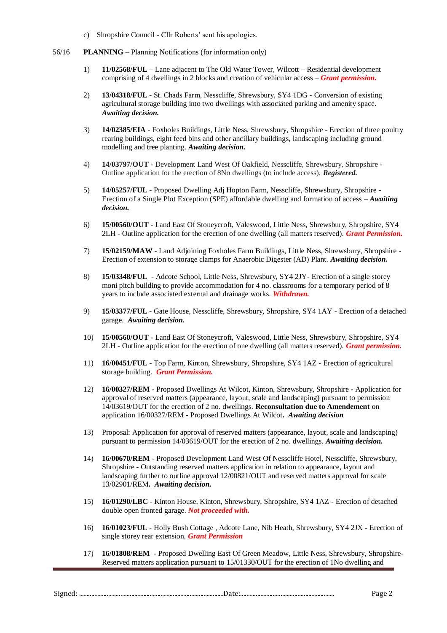- c) Shropshire Council Cllr Roberts' sent his apologies.
- 56/16 **PLANNING** Planning Notifications (for information only)
	- 1) **11/02568/FUL** Lane adjacent to The Old Water Tower, Wilcott Residential development comprising of 4 dwellings in 2 blocks and creation of vehicular access – *Grant permission.*
	- 2) **13/04318/FUL** St. Chads Farm, Nesscliffe, Shrewsbury, SY4 1DG Conversion of existing agricultural storage building into two dwellings with associated parking and amenity space. *Awaiting decision.*
	- 3) **14/02385/EIA** Foxholes Buildings, Little Ness, Shrewsbury, Shropshire Erection of three poultry rearing buildings, eight feed bins and other ancillary buildings, landscaping including ground modelling and tree planting. *Awaiting decision.*
	- 4) **14/03797/OUT** Development Land West Of Oakfield, Nesscliffe, Shrewsbury, Shropshire Outline application for the erection of 8No dwellings (to include access). *Registered.*
	- 5) **14/05257/FUL** Proposed Dwelling Adj Hopton Farm, Nesscliffe, Shrewsbury, Shropshire Erection of a Single Plot Exception (SPE) affordable dwelling and formation of access – *Awaiting decision.*
	- 6) **15/00560/OUT** Land East Of Stoneycroft, Valeswood, Little Ness, Shrewsbury, Shropshire, SY4 2LH - Outline application for the erection of one dwelling (all matters reserved). *Grant Permission.*
	- 7) **15/02159/MAW** Land Adjoining Foxholes Farm Buildings, Little Ness, Shrewsbury, Shropshire Erection of extension to storage clamps for Anaerobic Digester (AD) Plant. *Awaiting decision.*
	- 8) **15/03348/FUL**  Adcote School, Little Ness, Shrewsbury, SY4 2JY- Erection of a single storey moni pitch building to provide accommodation for 4 no. classrooms for a temporary period of 8 years to include associated external and drainage works. *Withdrawn.*
	- 9) **15/03377/FUL** Gate House, Nesscliffe, Shrewsbury, Shropshire, SY4 1AY Erection of a detached garage. *Awaiting decision.*
	- 10) **15/00560/OUT** Land East Of Stoneycroft, Valeswood, Little Ness, Shrewsbury, Shropshire, SY4 2LH - Outline application for the erection of one dwelling (all matters reserved). *Grant permission.*
	- 11) **16/00451/FUL** Top Farm, Kinton, Shrewsbury, Shropshire, SY4 1AZ Erection of agricultural storage building. *Grant Permission.*
	- 12) **16/00327/REM** Proposed Dwellings At Wilcot, Kinton, Shrewsbury, Shropshire Application for approval of reserved matters (appearance, layout, scale and landscaping) pursuant to permission 14/03619/OUT for the erection of 2 no. dwellings. **Reconsultation due to Amendement** on application 16/00327/REM - Proposed Dwellings At Wilcot**.** *Awaiting decision*
	- 13) Proposal: Application for approval of reserved matters (appearance, layout, scale and landscaping) pursuant to permission 14/03619/OUT for the erection of 2 no. dwellings. *Awaiting decision.*
	- 14) **16/00670/REM** Proposed Development Land West Of Nesscliffe Hotel, Nesscliffe, Shrewsbury, Shropshire **-** Outstanding reserved matters application in relation to appearance, layout and landscaping further to outline approval 12/00821/OUT and reserved matters approval for scale 13/02901/REM**.** *Awaiting decision.*
	- 15) **16/01290/LBC** Kinton House, Kinton, Shrewsbury, Shropshire, SY4 1AZ **-** Erection of detached double open fronted garage. *Not proceeded with.*
	- 16) **16/01023/FUL** Holly Bush Cottage , Adcote Lane, Nib Heath, Shrewsbury, SY4 2JX **-** Erection of single storey rear extension*. Grant Permission*
	- 17) **16/01808/REM -** Proposed Dwelling East Of Green Meadow, Little Ness, Shrewsbury, Shropshire**-**Reserved matters application pursuant to 15/01330/OUT for the erection of 1No dwelling and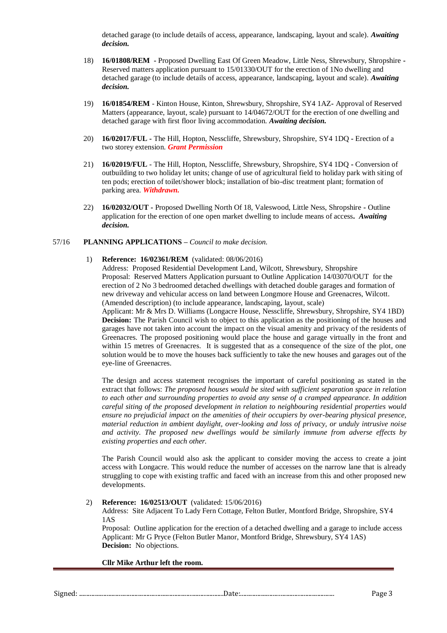detached garage (to include details of access, appearance, landscaping, layout and scale). *Awaiting decision.*

- 18) **16/01808/REM -** Proposed Dwelling East Of Green Meadow, Little Ness, Shrewsbury, Shropshire **-** Reserved matters application pursuant to 15/01330/OUT for the erection of 1No dwelling and detached garage (to include details of access, appearance, landscaping, layout and scale). *Awaiting decision.*
- 19) **16/01854/REM** Kinton House, Kinton, Shrewsbury, Shropshire, SY4 1AZ**-** Approval of Reserved Matters (appearance, layout, scale) pursuant to 14/04672/OUT for the erection of one dwelling and detached garage with first floor living accommodation. *Awaiting decision.*
- 20) **16/02017/FUL -** The Hill, Hopton, Nesscliffe, Shrewsbury, Shropshire, SY4 1DQ **-** Erection of a two storey extension. *Grant Permission*
- 21) **16/02019/FUL** The Hill, Hopton, Nesscliffe, Shrewsbury, Shropshire, SY4 1DQ **-** Conversion of outbuilding to two holiday let units; change of use of agricultural field to holiday park with siting of ten pods; erection of toilet/shower block; installation of bio-disc treatment plant; formation of parking area. *Withdrawn.*
- 22) **16/02032/OUT -** Proposed Dwelling North Of 18, Valeswood, Little Ness, Shropshire **-** Outline application for the erection of one open market dwelling to include means of access**.** *Awaiting decision.*

# 57/16 **PLANNING APPLICATIONS –** *Council to make decision.*

#### 1) **Reference: 16/02361/REM** (validated: 08/06/2016)

Address: Proposed Residential Development Land, Wilcott, Shrewsbury, Shropshire Proposal: Reserved Matters Application pursuant to Outline Application 14/03070/OUT for the erection of 2 No 3 bedroomed detached dwellings with detached double garages and formation of new driveway and vehicular access on land between Longmore House and Greenacres, Wilcott. (Amended description) (to include appearance, landscaping, layout, scale)

Applicant: Mr & Mrs D. Williams (Longacre House, Nesscliffe, Shrewsbury, Shropshire, SY4 1BD) **Decision:** The Parish Council wish to object to this application as the positioning of the houses and garages have not taken into account the impact on the visual amenity and privacy of the residents of Greenacres. The proposed positioning would place the house and garage virtually in the front and within 15 metres of Greenacres. It is suggested that as a consequence of the size of the plot, one solution would be to move the houses back sufficiently to take the new houses and garages out of the eye-line of Greenacres.

The design and access statement recognises the important of careful positioning as stated in the extract that follows: *The proposed houses would be sited with sufficient separation space in relation to each other and surrounding properties to avoid any sense of a cramped appearance. In addition careful siting of the proposed development in relation to neighbouring residential properties would ensure no prejudicial impact on the amenities of their occupiers by over-bearing physical presence, material reduction in ambient daylight, over-looking and loss of privacy, or unduly intrusive noise and activity. The proposed new dwellings would be similarly immune from adverse effects by existing properties and each other.*

The Parish Council would also ask the applicant to consider moving the access to create a joint access with Longacre. This would reduce the number of accesses on the narrow lane that is already struggling to cope with existing traffic and faced with an increase from this and other proposed new developments.

## 2) **Reference: 16/02513/OUT** (validated: 15/06/2016)

Address: Site Adjacent To Lady Fern Cottage, Felton Butler, Montford Bridge, Shropshire, SY4 1AS

Proposal: Outline application for the erection of a detached dwelling and a garage to include access Applicant: Mr G Pryce (Felton Butler Manor, Montford Bridge, Shrewsbury, SY4 1AS) **Decision:** No objections.

## **Cllr Mike Arthur left the room.**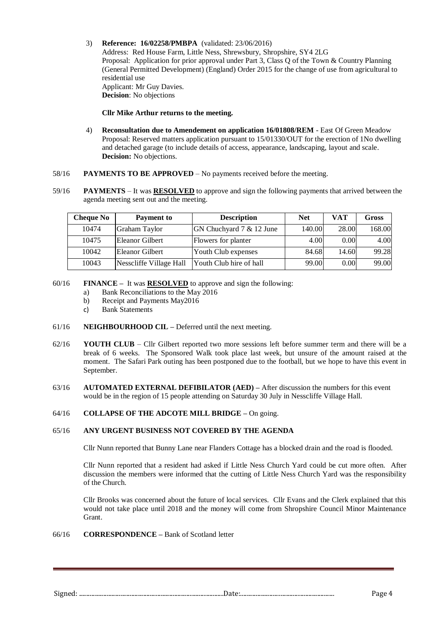3) **Reference: 16/02258/PMBPA** (validated: 23/06/2016)

Address: Red House Farm, Little Ness, Shrewsbury, Shropshire, SY4 2LG Proposal: Application for prior approval under Part 3, Class Q of the Town & Country Planning (General Permitted Development) (England) Order 2015 for the change of use from agricultural to residential use Applicant: Mr Guy Davies. **Decision**: No objections

# **Cllr Mike Arthur returns to the meeting.**

- 4) **Reconsultation due to Amendement on application 16/01808/REM** East Of Green Meadow Proposal: Reserved matters application pursuant to 15/01330/OUT for the erection of 1No dwelling and detached garage (to include details of access, appearance, landscaping, layout and scale. **Decision:** No objections.
- 58/16 **PAYMENTS TO BE APPROVED**  No payments received before the meeting.
- 59/16 **PAYMENTS** It was **RESOLVED** to approve and sign the following payments that arrived between the agenda meeting sent out and the meeting.

| <b>Cheque No</b> | <b>Payment to</b>       | <b>Description</b>         | <b>Net</b> | VAT   | Gross  |
|------------------|-------------------------|----------------------------|------------|-------|--------|
| 10474            | Graham Taylor           | $GN$ Chuchyard 7 & 12 June | 140.00     | 28.00 | 168.00 |
| 10475            | Eleanor Gilbert         | Flowers for planter        | 4.00       | 0.00  | 4.00   |
| 10042            | Eleanor Gilbert         | Youth Club expenses        | 84.68      | 14.60 | 99.28  |
| 10043            | Nesscliffe Village Hall | Youth Club hire of hall    | 99.00      | 0.00  | 99.00  |

## 60/16 **FINANCE –** It was **RESOLVED** to approve and sign the following:

- a) Bank Reconciliations to the May 2016
- b) Receipt and Payments May2016
- c) Bank Statements
- 61/16 **NEIGHBOURHOOD CIL –** Deferred until the next meeting.
- 62/16 **YOUTH CLUB** Cllr Gilbert reported two more sessions left before summer term and there will be a break of 6 weeks. The Sponsored Walk took place last week, but unsure of the amount raised at the moment. The Safari Park outing has been postponed due to the football, but we hope to have this event in September.
- 63/16 **AUTOMATED EXTERNAL DEFIBILATOR (AED) –** After discussion the numbers for this event would be in the region of 15 people attending on Saturday 30 July in Nesscliffe Village Hall.

# 64/16 **COLLAPSE OF THE ADCOTE MILL BRIDGE –** On going.

## 65/16 **ANY URGENT BUSINESS NOT COVERED BY THE AGENDA**

Cllr Nunn reported that Bunny Lane near Flanders Cottage has a blocked drain and the road is flooded.

Cllr Nunn reported that a resident had asked if Little Ness Church Yard could be cut more often. After discussion the members were informed that the cutting of Little Ness Church Yard was the responsibility of the Church.

Cllr Brooks was concerned about the future of local services. Cllr Evans and the Clerk explained that this would not take place until 2018 and the money will come from Shropshire Council Minor Maintenance Grant.

# 66/16 **CORRESPONDENCE –** Bank of Scotland letter